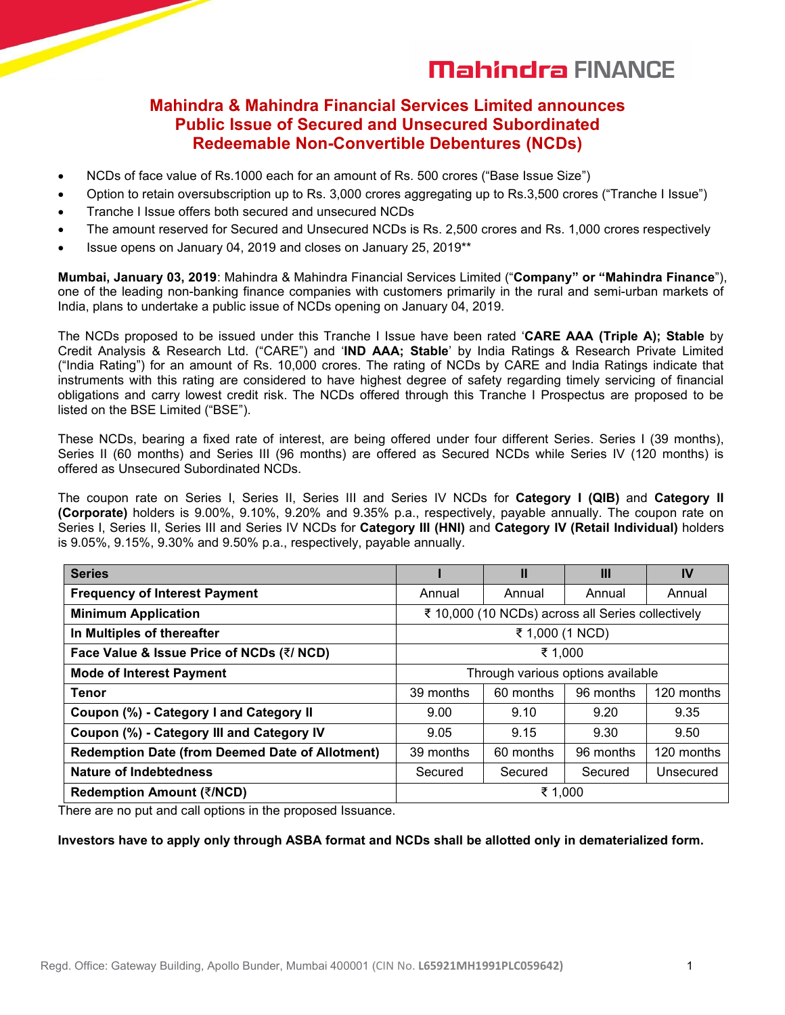# **Mahindra FINANCE**

### **Mahindra & Mahindra Financial Services Limited announces Public Issue of Secured and Unsecured Subordinated Redeemable Non-Convertible Debentures (NCDs)**

- NCDs of face value of Rs.1000 each for an amount of Rs. 500 crores ("Base Issue Size")
- Option to retain oversubscription up to Rs. 3,000 crores aggregating up to Rs.3,500 crores ("Tranche I Issue")
- Tranche I Issue offers both secured and unsecured NCDs
- The amount reserved for Secured and Unsecured NCDs is Rs. 2,500 crores and Rs. 1,000 crores respectively
- Issue opens on January 04, 2019 and closes on January 25, 2019\*\*

**Mumbai, January 03, 2019**: Mahindra & Mahindra Financial Services Limited ("**Company" or "Mahindra Finance**"), one of the leading non-banking finance companies with customers primarily in the ruraland semi-urban markets of India, plans to undertake a public issue of NCDs opening on January 04, 2019.

The NCDs proposed to be issued under this Tranche I Issue have been rated '**CARE AAA (Triple A); Stable** by Credit Analysis & Research Ltd. ("CARE") and '**IND AAA; Stable**' by India Ratings & Research Private Limited ("India Rating") for an amount of Rs. 10,000 crores. The rating of NCDs by CARE andIndia Ratings indicate that instruments with this rating are considered to have highest degree of safety regarding timely servicing of financial obligations and carry lowest credit risk. The NCDs offered through this Tranche I Prospectus are proposed to be listed on the BSE Limited ("BSE").

These NCDs, bearing a fixed rate of interest, are being offered under four different Series. Series I (39 months), Series II (60 months) and Series III (96 months) are offered as Secured NCDs while Series IV (120 months) is offered as Unsecured Subordinated NCDs.

The coupon rate on Series I, Series II, Series III and Series IV NCDs for **Category I (QIB)** and **Category II (Corporate)** holders is 9.00%, 9.10%, 9.20% and 9.35% p.a., respectively, payable annually. The coupon rate on Series I, Series II, Series III and Series IV NCDs for **Category III (HNI)** and **Category IV (Retail Individual)** holders is 9.05%, 9.15%, 9.30% and 9.50% p.a., respectively, payable annually.

| <b>Series</b>                                          |                                                   | Ш         | Ш         | IV         |
|--------------------------------------------------------|---------------------------------------------------|-----------|-----------|------------|
| <b>Frequency of Interest Payment</b>                   | Annual                                            | Annual    | Annual    | Annual     |
| <b>Minimum Application</b>                             | ₹ 10,000 (10 NCDs) across all Series collectively |           |           |            |
| In Multiples of thereafter                             | ₹ 1,000 (1 NCD)                                   |           |           |            |
| Face Value & Issue Price of NCDs (₹/ NCD)              | ₹ 1,000                                           |           |           |            |
| <b>Mode of Interest Payment</b>                        | Through various options available                 |           |           |            |
| <b>Tenor</b>                                           | 39 months                                         | 60 months | 96 months | 120 months |
| Coupon (%) - Category I and Category II                | 9.00                                              | 9.10      | 9.20      | 9.35       |
| Coupon (%) - Category III and Category IV              | 9.05                                              | 9.15      | 9.30      | 9.50       |
| <b>Redemption Date (from Deemed Date of Allotment)</b> | 39 months                                         | 60 months | 96 months | 120 months |
| <b>Nature of Indebtedness</b>                          | Secured                                           | Secured   | Secured   | Unsecured  |
| <b>Redemption Amount (₹/NCD)</b>                       | ₹ 1,000                                           |           |           |            |

There are no put and call options in the proposed Issuance.

### **Investors have to apply only through ASBA format and NCDs shall be allotted only in dematerialized form.**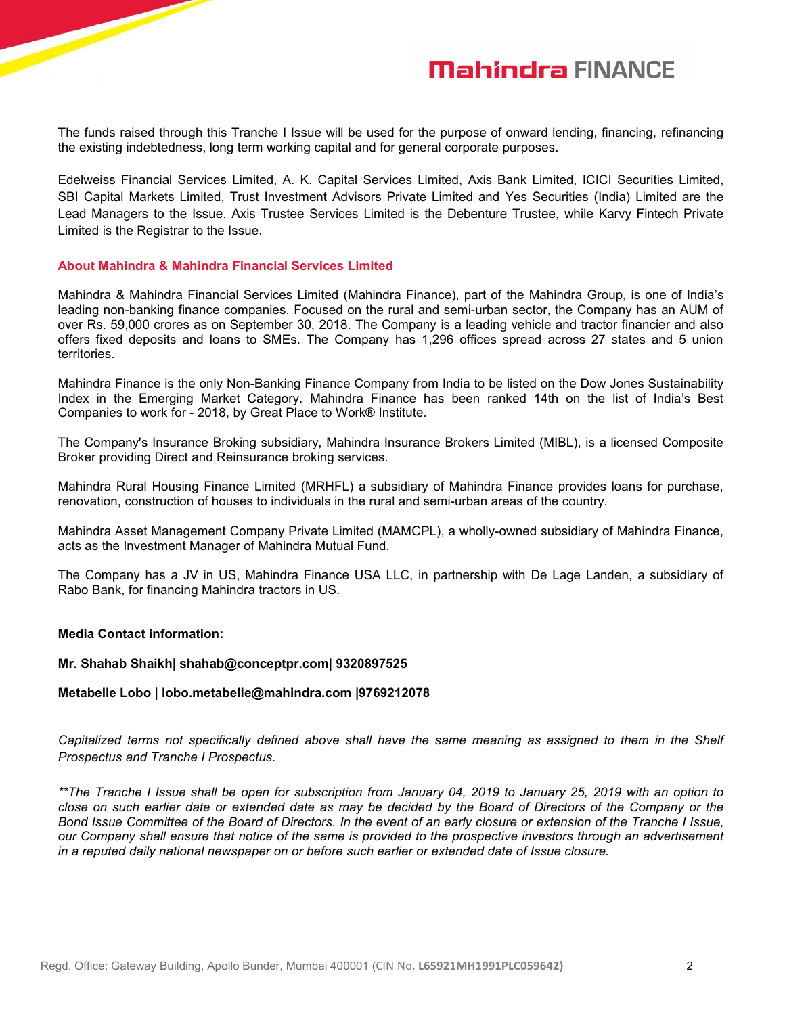# **Mahindra FINANCE**

The funds raised through this Tranche I Issue will be used for the purpose of onward lending, financing, refinancing the existing indebtedness, long term working capital and for general corporate purposes.

Edelweiss Financial Services Limited, A. K. Capital Services Limited, Axis Bank Limited, ICICI Securities Limited, SBI Capital Markets Limited, Trust Investment Advisors Private Limited and Yes Securities (India) Limited are the Lead Managers to the Issue. Axis Trustee Services Limited is the Debenture Trustee, while Karvy Fintech Private Limited is the Registrar to the Issue.

### **About Mahindra & Mahindra Financial Services Limited**

Mahindra & Mahindra Financial Services Limited (Mahindra Finance), part of the Mahindra Group, is one of India's leading non-banking finance companies. Focused on the rural and semi-urban sector, the Company has an AUM of over Rs. 59,000 crores as on September 30, 2018. The Company is a leading vehicle and tractor financier and also offers fixed deposits and loans to SMEs. The Company has 1,296 offices spread across 27 states and 5 union territories.

Mahindra Finance is the only Non-Banking Finance Company from India to be listed on the Dow Jones Sustainability Index in the Emerging Market Category. Mahindra Finance has been ranked 14th on the list of India's Best Companies to work for - 2018, by Great Place to Work® Institute.

The Company's Insurance Broking subsidiary, Mahindra Insurance Brokers Limited (MIBL), is a licensed Composite Broker providing Direct and Reinsurance broking services.

Mahindra Rural Housing Finance Limited (MRHFL) a subsidiary of Mahindra Finance provides loans for purchase, renovation, construction of houses to individuals in the rural and semi-urban areas of the country.

Mahindra Asset Management Company Private Limited (MAMCPL), a wholly-owned subsidiary of Mahindra Finance, acts as the Investment Manager of Mahindra Mutual Fund.

The Company has a JV in US, Mahindra Finance USA LLC, in partnership with De Lage Landen, a subsidiary of Rabo Bank, for financing Mahindra tractors in US.

#### **Media Contact information:**

#### **Mr. Shahab Shaikh| shahab@conceptpr.com| 9320897525**

#### **Metabelle Lobo | lobo.metabelle@mahindra.com |9769212078**

Capitalized terms not specifically defined above shall have the same meaning as assigned to them in the Shelf *Prospectus and Tranche I Prospectus.*

\*\*The Tranche I Issue shall be open for subscription from January 04, 2019 to January 25, 2019 with an option to close on such earlier date or extended date as may be decided by the Board of Directors of the Company or the Bond Issue Committee of the Board of Directors. In the event of an early closure or extension of the Tranche I Issue, our Company shall ensure that notice of the same is provided to the prospective investors through an advertisement *in a reputed daily national newspaper on or before such earlier orextended date of Issue closure.*